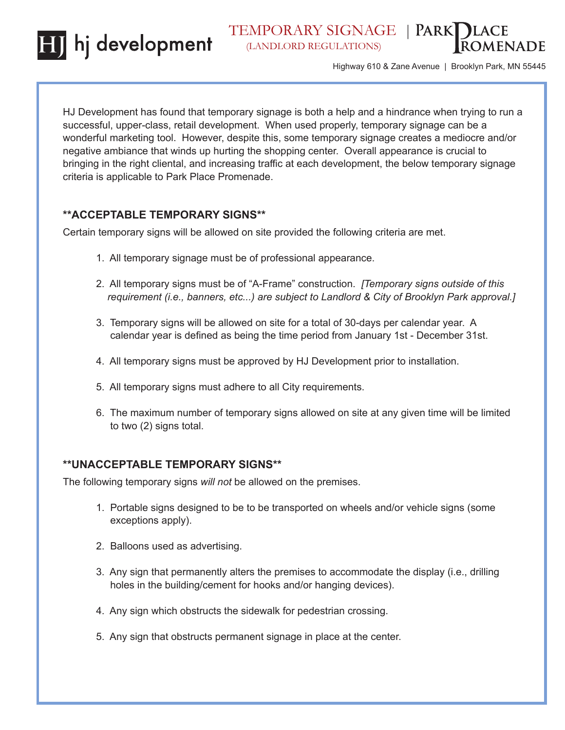hj development



Highway 610 & Zane Avenue | Brooklyn Park, MN 55445

HJ Development has found that temporary signage is both a help and a hindrance when trying to run a successful, upper-class, retail development. When used properly, temporary signage can be a wonderful marketing tool. However, despite this, some temporary signage creates a mediocre and/or negative ambiance that winds up hurting the shopping center. Overall appearance is crucial to bringing in the right cliental, and increasing traffic at each development, the below temporary signage criteria is applicable to Park Place Promenade.

## **\*\*ACCEPTABLE TEMPORARY SIGNS\*\***

Certain temporary signs will be allowed on site provided the following criteria are met.

- 1. All temporary signage must be of professional appearance.
- 2. All temporary signs must be of "A-Frame" construction. *[Temporary signs outside of this requirement (i.e., banners, etc...) are subject to Landlord & City of Brooklyn Park approval.]*
- 3. Temporary signs will be allowed on site for a total of 30-days per calendar year. A calendar year is defined as being the time period from January 1st - December 31st.
- 4. All temporary signs must be approved by HJ Development prior to installation.
- 5. All temporary signs must adhere to all City requirements.
- 6. The maximum number of temporary signs allowed on site at any given time will be limited to two (2) signs total.

## **\*\*UNACCEPTABLE TEMPORARY SIGNS\*\***

The following temporary signs *will not* be allowed on the premises.

- 1. Portable signs designed to be to be transported on wheels and/or vehicle signs (some exceptions apply).
- 2. Balloons used as advertising.
- 3. Any sign that permanently alters the premises to accommodate the display (i.e., drilling holes in the building/cement for hooks and/or hanging devices).
- 4. Any sign which obstructs the sidewalk for pedestrian crossing.
- 5. Any sign that obstructs permanent signage in place at the center.